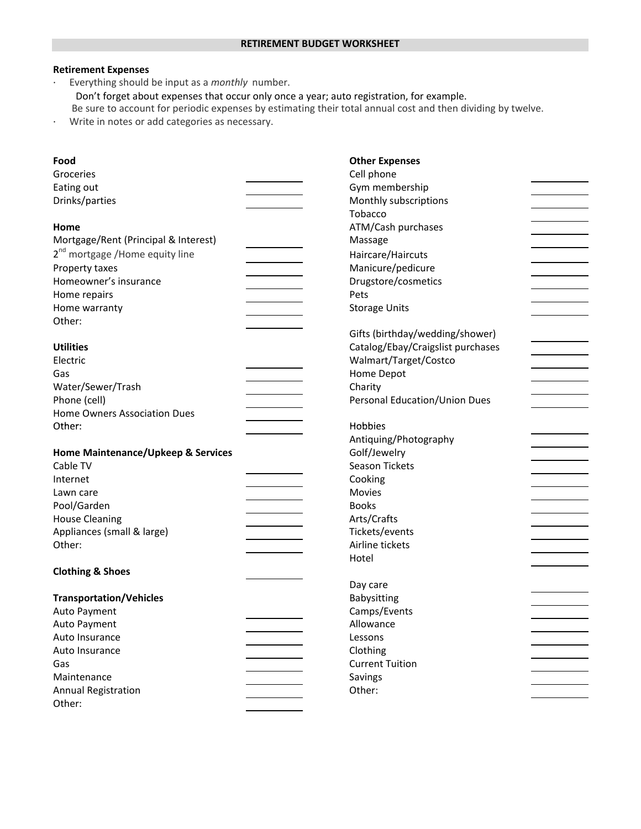## **Retirement Expenses**

∙ Everything should be input as a *monthly* number.

Don't forget about expenses that occur only once a year; auto registration, for example.

Be sure to account for periodic expenses by estimating their total annual cost and then dividing by twelve.

∙ Write in notes or add categories as necessary.

| Food                                        | <b>Other Expenses</b>             |  |  |
|---------------------------------------------|-----------------------------------|--|--|
| Groceries                                   | Cell phone                        |  |  |
| Eating out                                  | Gym membership                    |  |  |
| Drinks/parties                              | Monthly subscriptions             |  |  |
|                                             | Tobacco                           |  |  |
| Home                                        | ATM/Cash purchases                |  |  |
| Mortgage/Rent (Principal & Interest)        | Massage                           |  |  |
| 2 <sup>nd</sup> mortgage / Home equity line | Haircare/Haircuts                 |  |  |
| Property taxes                              | Manicure/pedicure                 |  |  |
| Homeowner's insurance                       | Drugstore/cosmetics               |  |  |
| Home repairs                                | Pets                              |  |  |
| Home warranty                               | <b>Storage Units</b>              |  |  |
| Other:                                      |                                   |  |  |
|                                             | Gifts (birthday/wedding/shower)   |  |  |
| <b>Utilities</b>                            | Catalog/Ebay/Craigslist purchases |  |  |
| Electric                                    | Walmart/Target/Costco             |  |  |
| Gas                                         | Home Depot                        |  |  |
| Water/Sewer/Trash                           | Charity                           |  |  |
| Phone (cell)                                | Personal Education/Union Dues     |  |  |
| Home Owners Association Dues                |                                   |  |  |
| Other:                                      | Hobbies                           |  |  |
|                                             | Antiquing/Photography             |  |  |
| Home Maintenance/Upkeep & Services          | Golf/Jewelry                      |  |  |
| Cable TV                                    | <b>Season Tickets</b>             |  |  |
| Internet                                    | Cooking                           |  |  |
| Lawn care                                   | Movies                            |  |  |
| Pool/Garden                                 | <b>Books</b>                      |  |  |
| <b>House Cleaning</b>                       | Arts/Crafts                       |  |  |
| Appliances (small & large)                  | Tickets/events                    |  |  |
| Other:                                      | Airline tickets                   |  |  |
|                                             | Hotel                             |  |  |
| <b>Clothing &amp; Shoes</b>                 |                                   |  |  |
|                                             | Day care                          |  |  |
| <b>Transportation/Vehicles</b>              | Babysitting                       |  |  |
| Auto Payment                                | Camps/Events                      |  |  |
| Auto Payment                                | Allowance                         |  |  |
| Auto Insurance                              | Lessons                           |  |  |
| Auto Insurance                              | Clothing                          |  |  |
| Gas                                         | <b>Current Tuition</b>            |  |  |
| Maintenance                                 | Savings                           |  |  |
| <b>Annual Registration</b>                  | Other:                            |  |  |
| Other:                                      |                                   |  |  |